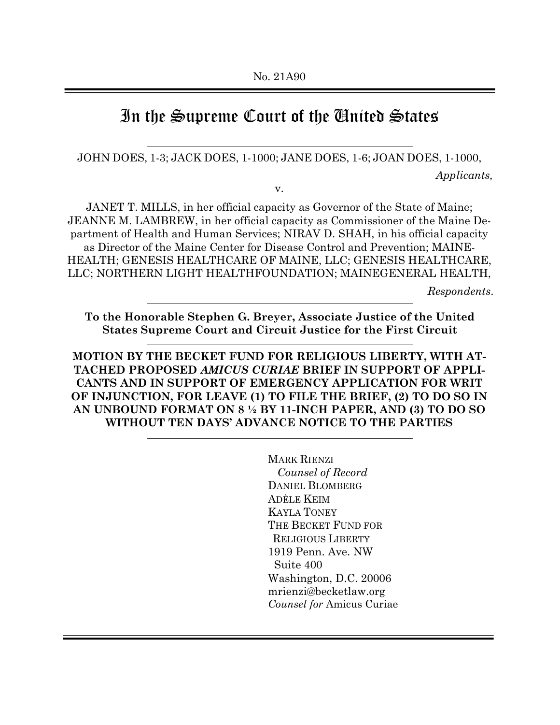# In the Supreme Court of the United States

#### JOHN DOES, 1-3; JACK DOES, 1-1000; JANE DOES, 1-6; JOAN DOES, 1-1000,

*Applicants,*

v.

JANET T. MILLS, in her official capacity as Governor of the State of Maine; JEANNE M. LAMBREW, in her official capacity as Commissioner of the Maine Department of Health and Human Services; NIRAV D. SHAH, in his official capacity as Director of the Maine Center for Disease Control and Prevention; MAINE-HEALTH; GENESIS HEALTHCARE OF MAINE, LLC; GENESIS HEALTHCARE, LLC; NORTHERN LIGHT HEALTHFOUNDATION; MAINEGENERAL HEALTH,

*Respondents*.

**To the Honorable Stephen G. Breyer, Associate Justice of the United States Supreme Court and Circuit Justice for the First Circuit**

**MOTION BY THE BECKET FUND FOR RELIGIOUS LIBERTY, WITH AT-TACHED PROPOSED** *AMICUS CURIAE* **BRIEF IN SUPPORT OF APPLI-CANTS AND IN SUPPORT OF EMERGENCY APPLICATION FOR WRIT OF INJUNCTION, FOR LEAVE (1) TO FILE THE BRIEF, (2) TO DO SO IN AN UNBOUND FORMAT ON 8 ½ BY 11-INCH PAPER, AND (3) TO DO SO WITHOUT TEN DAYS' ADVANCE NOTICE TO THE PARTIES**

> MARK RIENZI *Counsel of Record* DANIEL BLOMBERG ADÈLE KEIM KAYLA TONEY THE BECKET FUND FOR RELIGIOUS LIBERTY 1919 Penn. Ave. NW Suite 400 Washington, D.C. 20006 [mrienzi@becketlaw.org](mailto:mrienzi@becketlaw.org) *Counsel for* Amicus Curiae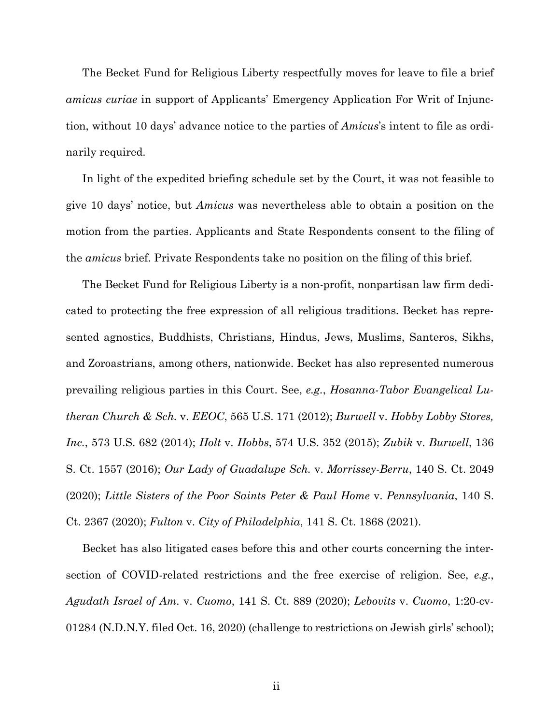The Becket Fund for Religious Liberty respectfully moves for leave to file a brief *amicus curiae* in support of Applicants' Emergency Application For Writ of Injunction, without 10 days' advance notice to the parties of *Amicus*'s intent to file as ordinarily required.

In light of the expedited briefing schedule set by the Court, it was not feasible to give 10 days' notice, but *Amicus* was nevertheless able to obtain a position on the motion from the parties. Applicants and State Respondents consent to the filing of the *amicus* brief. Private Respondents take no position on the filing of this brief.

The Becket Fund for Religious Liberty is a non-profit, nonpartisan law firm dedicated to protecting the free expression of all religious traditions. Becket has represented agnostics, Buddhists, Christians, Hindus, Jews, Muslims, Santeros, Sikhs, and Zoroastrians, among others, nationwide. Becket has also represented numerous prevailing religious parties in this Court. See, *e.g.*, *Hosanna-Tabor Evangelical Lutheran Church & Sch.* v. *EEOC*, 565 U.S. 171 (2012); *Burwell* v. *Hobby Lobby Stores, Inc.*, 573 U.S. 682 (2014); *Holt* v. *Hobbs*, 574 U.S. 352 (2015); *Zubik* v. *Burwell*, 136 S. Ct. 1557 (2016); *Our Lady of Guadalupe Sch.* v. *Morrissey-Berru*, 140 S. Ct. 2049 (2020); *Little Sisters of the Poor Saints Peter & Paul Home* v. *Pennsylvania*, 140 S. Ct. 2367 (2020); *Fulton* v. *City of Philadelphia*, 141 S. Ct. 1868 (2021).

Becket has also litigated cases before this and other courts concerning the intersection of COVID-related restrictions and the free exercise of religion. See, *e.g.*, *Agudath Israel of Am.* v. *Cuomo*, 141 S. Ct. 889 (2020); *Lebovits* v. *Cuomo*, 1:20-cv-01284 (N.D.N.Y. filed Oct. 16, 2020) (challenge to restrictions on Jewish girls' school);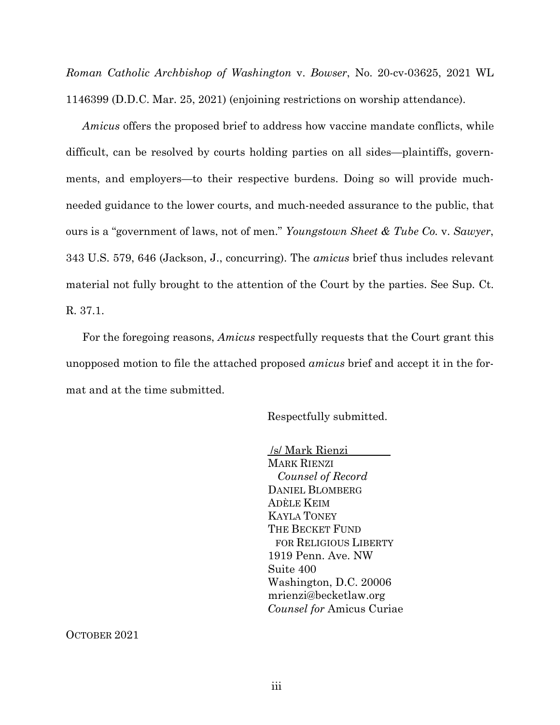*Roman Catholic Archbishop of Washington* v. *Bowser*, No. 20-cv-03625, 2021 WL 1146399 (D.D.C. Mar. 25, 2021) (enjoining restrictions on worship attendance).

*Amicus* offers the proposed brief to address how vaccine mandate conflicts, while difficult, can be resolved by courts holding parties on all sides—plaintiffs, governments, and employers—to their respective burdens. Doing so will provide muchneeded guidance to the lower courts, and much-needed assurance to the public, that ours is a "government of laws, not of men." *Youngstown Sheet & Tube Co.* v. *Sawyer*, 343 U.S. 579, 646 (Jackson, J., concurring). The *amicus* brief thus includes relevant material not fully brought to the attention of the Court by the parties. See Sup. Ct. R. 37.1.

For the foregoing reasons, *Amicus* respectfully requests that the Court grant this unopposed motion to file the attached proposed *amicus* brief and accept it in the format and at the time submitted.

Respectfully submitted.

/s/ Mark Rienzi MARK RIENZI *Counsel of Record* DANIEL BLOMBERG ADÈLE KEIM KAYLA TONEY THE BECKET FUND FOR RELIGIOUS LIBERTY 1919 Penn. Ave. NW Suite 400 Washington, D.C. 20006 mrienzi@becketlaw.org *Counsel for* Amicus Curiae

OCTOBER 2021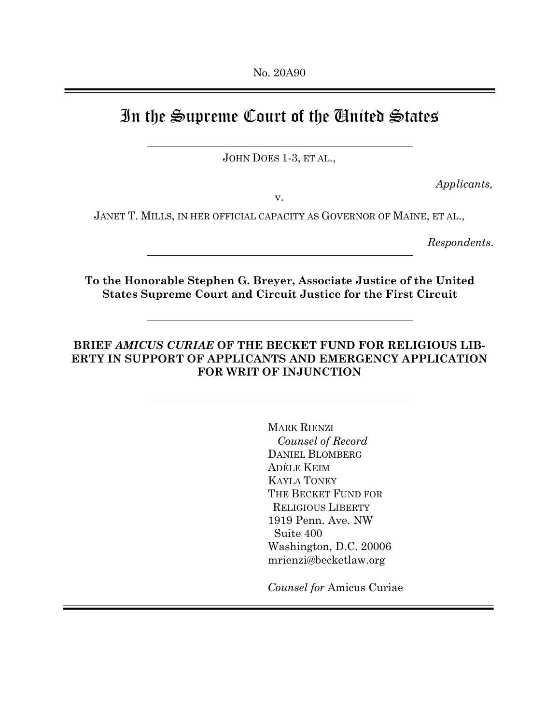# In the Supreme Court of the United States

JOHN DOES 1-3, ET AL.,

*Applicants,*

v.

JANET T. MILLS, IN HER OFFICIAL CAPACITY AS GOVERNOR OF MAINE, ET AL.,

*Respondents*.

**To the Honorable Stephen G. Breyer, Associate Justice of the United States Supreme Court and Circuit Justice for the First Circuit**

## **BRIEF** *AMICUS CURIAE* **OF THE BECKET FUND FOR RELIGIOUS LIB-ERTY IN SUPPORT OF APPLICANTS AND EMERGENCY APPLICATION FOR WRIT OF INJUNCTION**

MARK RIENZI *Counsel of Record* DANIEL BLOMBERG ADÈLE KEIM KAYLA TONEY THE BECKET FUND FOR RELIGIOUS LIBERTY 1919 Penn. Ave. NW Suite 400 Washington, D.C. 20006 mrienzi@becketlaw.org

*Counsel for* Amicus Curiae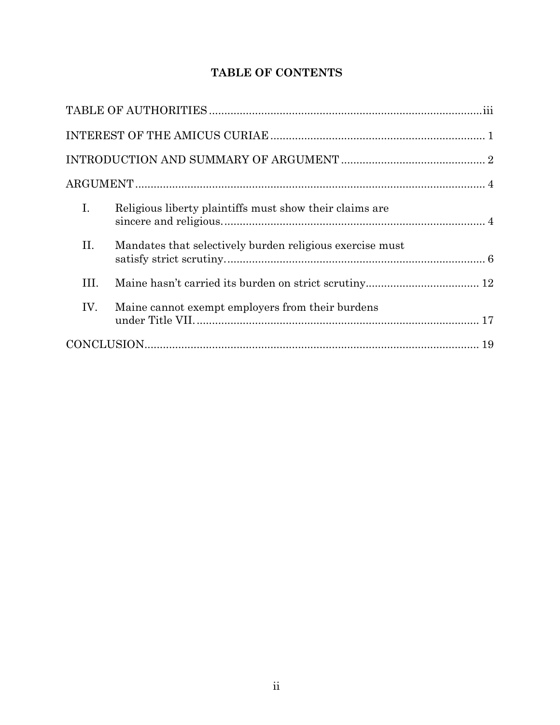# **TABLE OF CONTENTS**

| $I_{\cdot}$ | Religious liberty plaintiffs must show their claims are  |  |  |
|-------------|----------------------------------------------------------|--|--|
| II.         | Mandates that selectively burden religious exercise must |  |  |
| III.        |                                                          |  |  |
| IV.         | Maine cannot exempt employers from their burdens         |  |  |
|             |                                                          |  |  |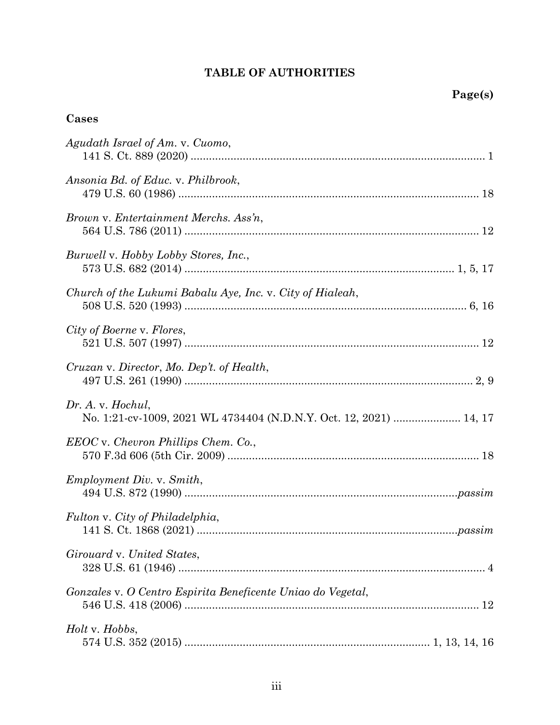# **TABLE OF AUTHORITIES**

# **Cases**

| Agudath Israel of Am. v. Cuomo,                                                         |
|-----------------------------------------------------------------------------------------|
| Ansonia Bd. of Educ. v. Philbrook,                                                      |
| Brown v. Entertainment Merchs. Ass'n,                                                   |
| Burwell v. Hobby Lobby Stores, Inc.,                                                    |
| Church of the Lukumi Babalu Aye, Inc. v. City of Hialeah,                               |
| City of Boerne v. Flores,                                                               |
| Cruzan v. Director, Mo. Dep't. of Health,                                               |
| Dr. A. v. Hochul,<br>No. 1:21-cv-1009, 2021 WL 4734404 (N.D.N.Y. Oct. 12, 2021)  14, 17 |
| EEOC v. Chevron Phillips Chem. Co.,                                                     |
| Employment Div. v. Smith,                                                               |
| Fulton v. City of Philadelphia,                                                         |
| Girouard v. United States,                                                              |
| Gonzales v. O Centro Espirita Beneficente Uniao do Vegetal,                             |
| Holt v. Hobbs,                                                                          |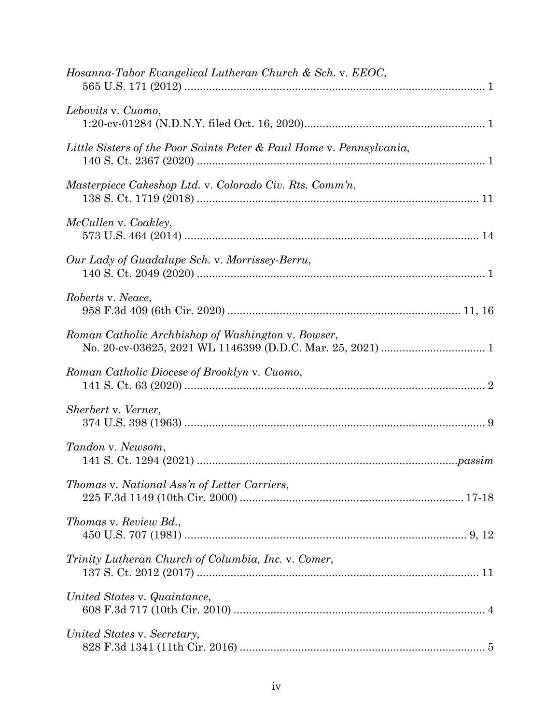| Hosanna-Tabor Evangelical Lutheran Church & Sch. v. EEOC,            |
|----------------------------------------------------------------------|
| Lebovits v. Cuomo,                                                   |
| Little Sisters of the Poor Saints Peter & Paul Home v. Pennsylvania, |
| Masterpiece Cakeshop Ltd. v. Colorado Civ. Rts. Comm'n,              |
| McCullen v. Coakley,                                                 |
| Our Lady of Guadalupe Sch. v. Morrissey-Berru,                       |
| Roberts v. Neace,                                                    |
| Roman Catholic Archbishop of Washington v. Bowser,                   |
| Roman Catholic Diocese of Brooklyn v. Cuomo,                         |
| Sherbert v. Verner,                                                  |
| Tandon v. Newsom,                                                    |
| Thomas v. National Ass'n of Letter Carriers,                         |
| Thomas v. Review Bd.,                                                |
| Trinity Lutheran Church of Columbia, Inc. v. Comer,                  |
| United States v. Quaintance,                                         |
| United States v. Secretary,                                          |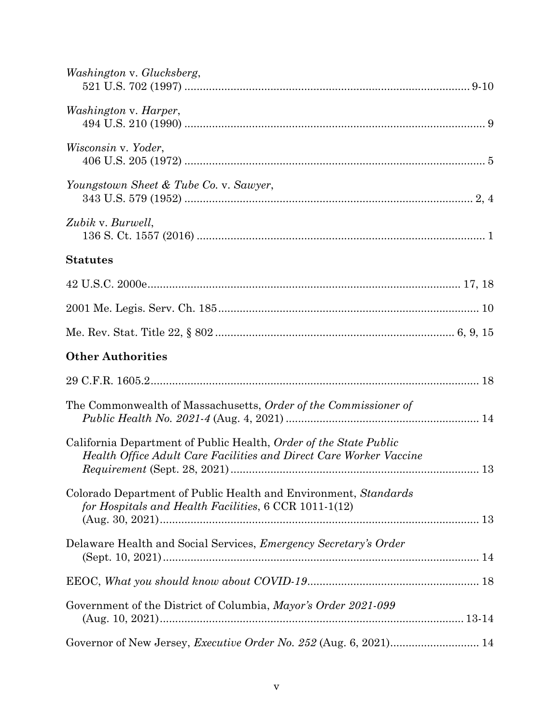| Washington v. Glucksberg,                                                                                                               |  |
|-----------------------------------------------------------------------------------------------------------------------------------------|--|
| <i>Washington v. Harper,</i>                                                                                                            |  |
| Wisconsin v. Yoder,                                                                                                                     |  |
| Youngstown Sheet & Tube Co. v. Sawyer,                                                                                                  |  |
| Zubik v. Burwell,                                                                                                                       |  |
| <b>Statutes</b>                                                                                                                         |  |
|                                                                                                                                         |  |
|                                                                                                                                         |  |
|                                                                                                                                         |  |
| <b>Other Authorities</b>                                                                                                                |  |
|                                                                                                                                         |  |
| The Commonwealth of Massachusetts, Order of the Commissioner of                                                                         |  |
| California Department of Public Health, Order of the State Public<br>Health Office Adult Care Facilities and Direct Care Worker Vaccine |  |
| Colorado Department of Public Health and Environment, Standards<br>for Hospitals and Health Facilities, 6 CCR 1011-1(12)                |  |
| Delaware Health and Social Services, Emergency Secretary's Order                                                                        |  |
|                                                                                                                                         |  |
| Government of the District of Columbia, Mayor's Order 2021-099                                                                          |  |
|                                                                                                                                         |  |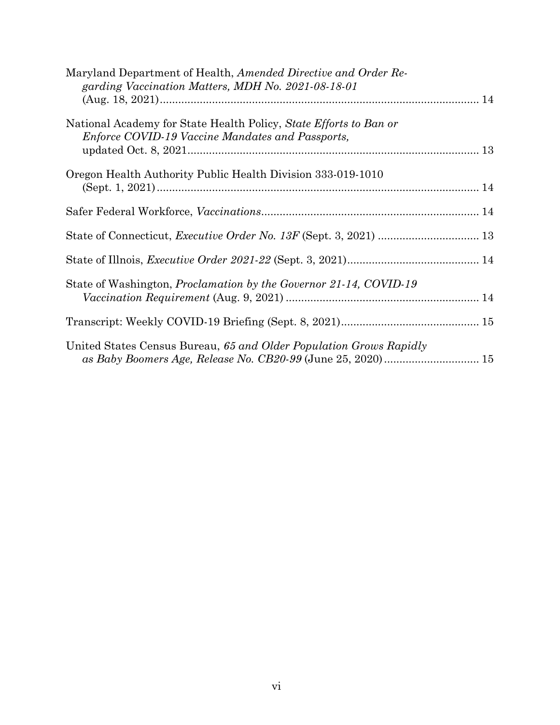| Maryland Department of Health, Amended Directive and Order Re-<br>garding Vaccination Matters, MDH No. 2021-08-18-01         |  |
|------------------------------------------------------------------------------------------------------------------------------|--|
| National Academy for State Health Policy, State Efforts to Ban or<br><i>Enforce COVID-19 Vaccine Mandates and Passports,</i> |  |
| Oregon Health Authority Public Health Division 333-019-1010                                                                  |  |
|                                                                                                                              |  |
|                                                                                                                              |  |
|                                                                                                                              |  |
| State of Washington, <i>Proclamation by the Governor 21-14, COVID-19</i>                                                     |  |
|                                                                                                                              |  |
| United States Census Bureau, 65 and Older Population Grows Rapidly                                                           |  |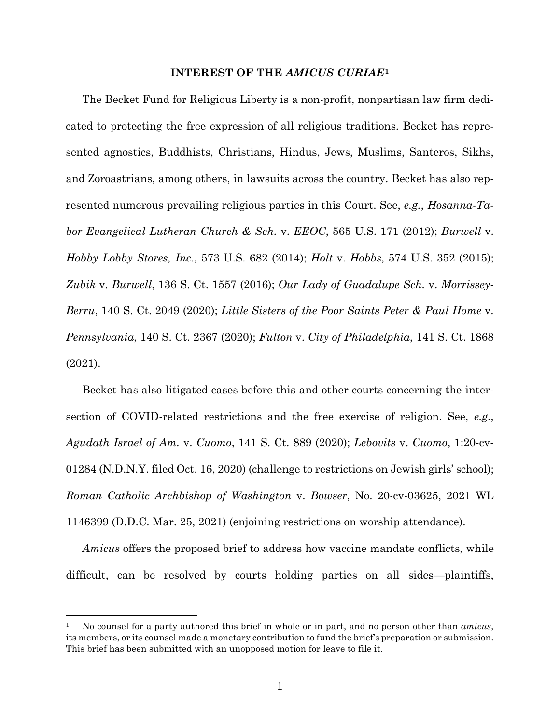#### **INTEREST OF THE** *AMICUS CURIAE***[1](#page-9-0)**

The Becket Fund for Religious Liberty is a non-profit, nonpartisan law firm dedicated to protecting the free expression of all religious traditions. Becket has represented agnostics, Buddhists, Christians, Hindus, Jews, Muslims, Santeros, Sikhs, and Zoroastrians, among others, in lawsuits across the country. Becket has also represented numerous prevailing religious parties in this Court. See, *e.g.*, *Hosanna-Tabor Evangelical Lutheran Church & Sch.* v. *EEOC*, 565 U.S. 171 (2012); *Burwell* v. *Hobby Lobby Stores, Inc.*, 573 U.S. 682 (2014); *Holt* v. *Hobbs*, 574 U.S. 352 (2015); *Zubik* v. *Burwell*, 136 S. Ct. 1557 (2016); *Our Lady of Guadalupe Sch.* v. *Morrissey-Berru*, 140 S. Ct. 2049 (2020); *Little Sisters of the Poor Saints Peter & Paul Home* v. *Pennsylvania*, 140 S. Ct. 2367 (2020); *Fulton* v. *City of Philadelphia*, 141 S. Ct. 1868 (2021).

Becket has also litigated cases before this and other courts concerning the intersection of COVID-related restrictions and the free exercise of religion. See, *e.g.*, *Agudath Israel of Am.* v. *Cuomo*, 141 S. Ct. 889 (2020); *Lebovits* v. *Cuomo*, 1:20-cv-01284 (N.D.N.Y. filed Oct. 16, 2020) (challenge to restrictions on Jewish girls' school); *Roman Catholic Archbishop of Washington* v. *Bowser*, No. 20-cv-03625, 2021 WL 1146399 (D.D.C. Mar. 25, 2021) (enjoining restrictions on worship attendance).

*Amicus* offers the proposed brief to address how vaccine mandate conflicts, while difficult, can be resolved by courts holding parties on all sides—plaintiffs,

<span id="page-9-0"></span><sup>1</sup> No counsel for a party authored this brief in whole or in part, and no person other than *amicus*, its members, or its counsel made a monetary contribution to fund the brief's preparation or submission. This brief has been submitted with an unopposed motion for leave to file it.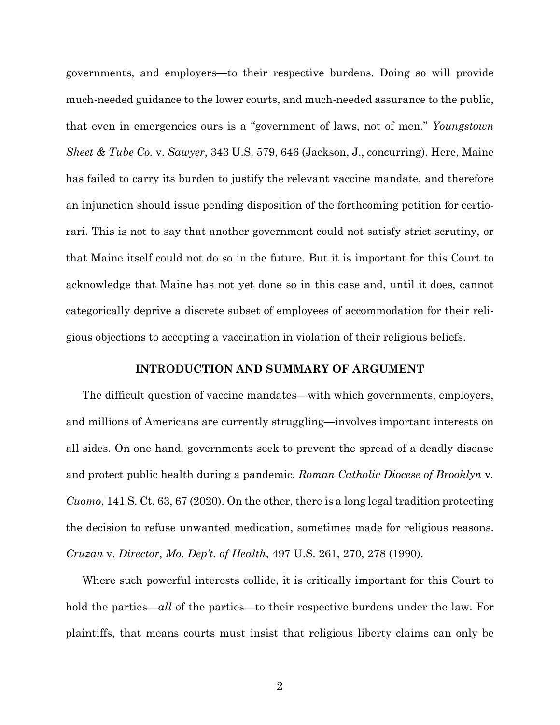governments, and employers—to their respective burdens. Doing so will provide much-needed guidance to the lower courts, and much-needed assurance to the public, that even in emergencies ours is a "government of laws, not of men." *Youngstown Sheet & Tube Co.* v. *Sawyer*, 343 U.S. 579, 646 (Jackson, J., concurring). Here, Maine has failed to carry its burden to justify the relevant vaccine mandate, and therefore an injunction should issue pending disposition of the forthcoming petition for certiorari. This is not to say that another government could not satisfy strict scrutiny, or that Maine itself could not do so in the future. But it is important for this Court to acknowledge that Maine has not yet done so in this case and, until it does, cannot categorically deprive a discrete subset of employees of accommodation for their religious objections to accepting a vaccination in violation of their religious beliefs.

#### **INTRODUCTION AND SUMMARY OF ARGUMENT**

The difficult question of vaccine mandates—with which governments, employers, and millions of Americans are currently struggling—involves important interests on all sides. On one hand, governments seek to prevent the spread of a deadly disease and protect public health during a pandemic. *Roman Catholic Diocese of Brooklyn* v*. Cuomo*, 141 S. Ct. 63, 67 (2020). On the other, there is a long legal tradition protecting the decision to refuse unwanted medication, sometimes made for religious reasons. *Cruzan* v. *Director*, *Mo. Dep't. of Health*, 497 U.S. 261, 270, 278 (1990).

Where such powerful interests collide, it is critically important for this Court to hold the parties—*all* of the parties—to their respective burdens under the law. For plaintiffs, that means courts must insist that religious liberty claims can only be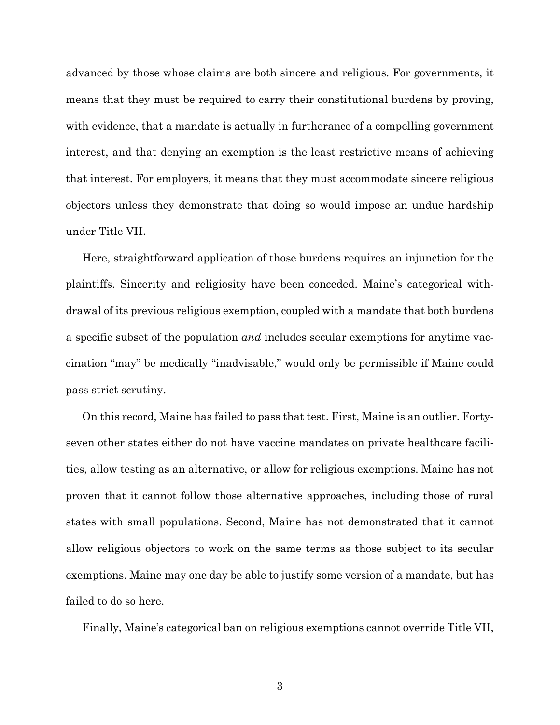advanced by those whose claims are both sincere and religious. For governments, it means that they must be required to carry their constitutional burdens by proving, with evidence, that a mandate is actually in furtherance of a compelling government interest, and that denying an exemption is the least restrictive means of achieving that interest. For employers, it means that they must accommodate sincere religious objectors unless they demonstrate that doing so would impose an undue hardship under Title VII.

Here, straightforward application of those burdens requires an injunction for the plaintiffs. Sincerity and religiosity have been conceded. Maine's categorical withdrawal of its previous religious exemption, coupled with a mandate that both burdens a specific subset of the population *and* includes secular exemptions for anytime vaccination "may" be medically "inadvisable," would only be permissible if Maine could pass strict scrutiny.

On this record, Maine has failed to pass that test. First, Maine is an outlier. Fortyseven other states either do not have vaccine mandates on private healthcare facilities, allow testing as an alternative, or allow for religious exemptions. Maine has not proven that it cannot follow those alternative approaches, including those of rural states with small populations. Second, Maine has not demonstrated that it cannot allow religious objectors to work on the same terms as those subject to its secular exemptions. Maine may one day be able to justify some version of a mandate, but has failed to do so here.

Finally, Maine's categorical ban on religious exemptions cannot override Title VII,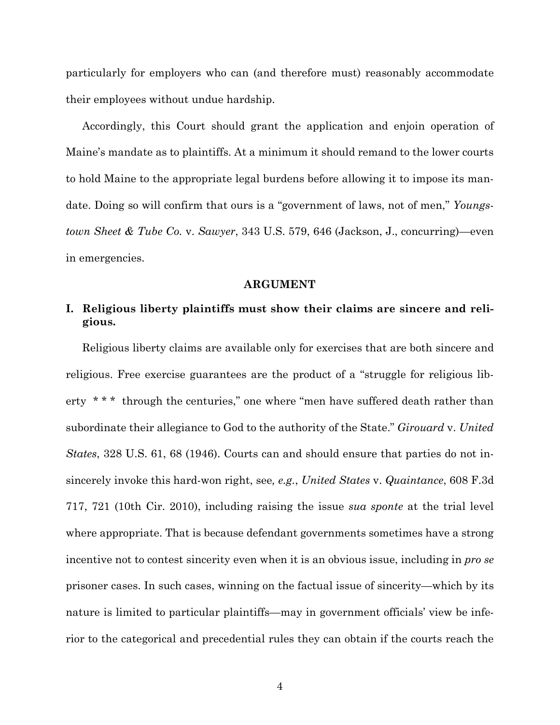particularly for employers who can (and therefore must) reasonably accommodate their employees without undue hardship.

Accordingly, this Court should grant the application and enjoin operation of Maine's mandate as to plaintiffs. At a minimum it should remand to the lower courts to hold Maine to the appropriate legal burdens before allowing it to impose its mandate. Doing so will confirm that ours is a "government of laws, not of men," *Youngstown Sheet & Tube Co.* v. *Sawyer*, 343 U.S. 579, 646 (Jackson, J., concurring)—even in emergencies.

#### **ARGUMENT**

### **I. Religious liberty plaintiffs must show their claims are sincere and religious.**

Religious liberty claims are available only for exercises that are both sincere and religious. Free exercise guarantees are the product of a "struggle for religious liberty \* \* \* through the centuries," one where "men have suffered death rather than subordinate their allegiance to God to the authority of the State." *Girouard* v. *United States*, 328 U.S. 61, 68 (1946). Courts can and should ensure that parties do not insincerely invoke this hard-won right, see*, e.g.*, *United States* v. *Quaintance*, 608 F.3d 717, 721 (10th Cir. 2010), including raising the issue *sua sponte* at the trial level where appropriate. That is because defendant governments sometimes have a strong incentive not to contest sincerity even when it is an obvious issue, including in *pro se* prisoner cases. In such cases, winning on the factual issue of sincerity—which by its nature is limited to particular plaintiffs—may in government officials' view be inferior to the categorical and precedential rules they can obtain if the courts reach the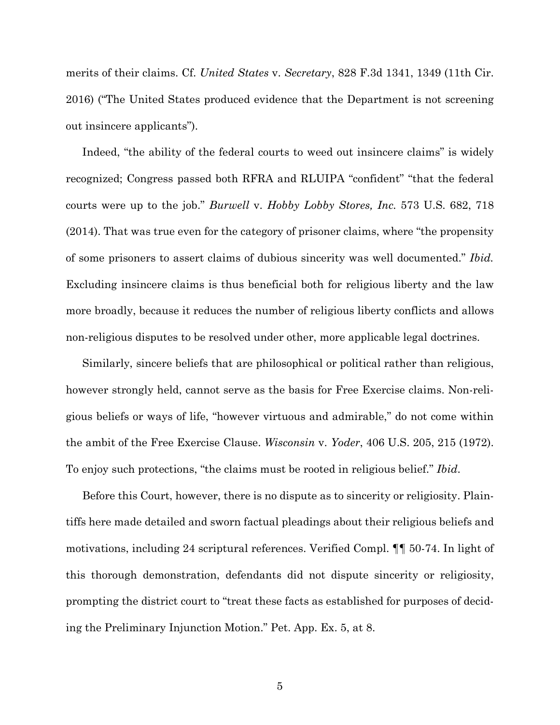merits of their claims. Cf. *United States* v. *Secretary*, 828 F.3d 1341, 1349 (11th Cir. 2016) ("The United States produced evidence that the Department is not screening out insincere applicants").

Indeed, "the ability of the federal courts to weed out insincere claims" is widely recognized; Congress passed both RFRA and RLUIPA "confident" "that the federal courts were up to the job." *Burwell* v. *Hobby Lobby Stores, Inc.* 573 U.S. 682, 718 (2014). That was true even for the category of prisoner claims, where "the propensity of some prisoners to assert claims of dubious sincerity was well documented." *Ibid.* Excluding insincere claims is thus beneficial both for religious liberty and the law more broadly, because it reduces the number of religious liberty conflicts and allows non-religious disputes to be resolved under other, more applicable legal doctrines.

Similarly, sincere beliefs that are philosophical or political rather than religious, however strongly held, cannot serve as the basis for Free Exercise claims. Non-religious beliefs or ways of life, "however virtuous and admirable," do not come within the ambit of the Free Exercise Clause. *Wisconsin* v. *Yoder*, 406 U.S. 205, 215 (1972). To enjoy such protections, "the claims must be rooted in religious belief." *Ibid*.

Before this Court, however, there is no dispute as to sincerity or religiosity. Plaintiffs here made detailed and sworn factual pleadings about their religious beliefs and motivations, including 24 scriptural references. Verified Compl. ¶¶ 50-74. In light of this thorough demonstration, defendants did not dispute sincerity or religiosity, prompting the district court to "treat these facts as established for purposes of deciding the Preliminary Injunction Motion." Pet. App. Ex. 5, at 8.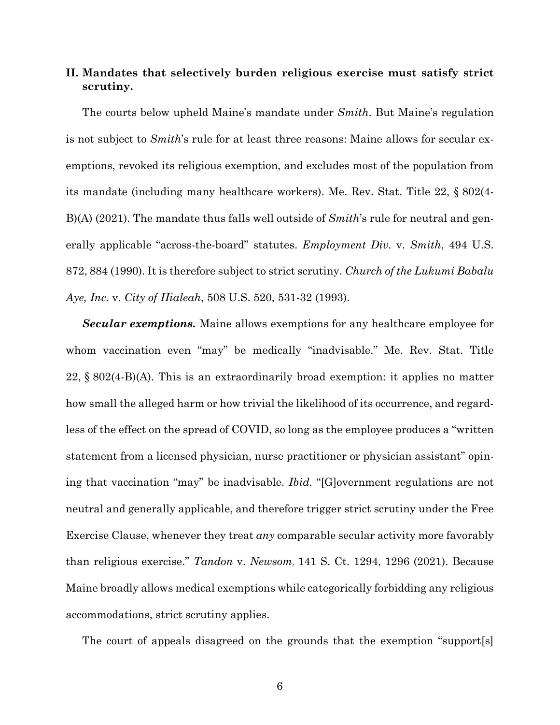### **II. Mandates that selectively burden religious exercise must satisfy strict scrutiny.**

The courts below upheld Maine's mandate under *Smith*. But Maine's regulation is not subject to *Smith*'s rule for at least three reasons: Maine allows for secular exemptions, revoked its religious exemption, and excludes most of the population from its mandate (including many healthcare workers). Me. Rev. Stat. Title 22, § 802(4- B)(A) (2021). The mandate thus falls well outside of *Smith*'s rule for neutral and generally applicable "across-the-board" statutes. *Employment Div.* v. *Smith*, 494 U.S. 872, 884 (1990). It is therefore subject to strict scrutiny. *Church of the Lukumi Babalu Aye, Inc.* v. *City of Hialeah*, 508 U.S. 520, 531-32 (1993).

*Secular exemptions.* Maine allows exemptions for any healthcare employee for whom vaccination even "may" be medically "inadvisable." Me. Rev. Stat. Title 22, § 802(4-B)(A). This is an extraordinarily broad exemption: it applies no matter how small the alleged harm or how trivial the likelihood of its occurrence, and regardless of the effect on the spread of COVID, so long as the employee produces a "written statement from a licensed physician, nurse practitioner or physician assistant" opining that vaccination "may" be inadvisable. *Ibid.* "[G]overnment regulations are not neutral and generally applicable, and therefore trigger strict scrutiny under the Free Exercise Clause, whenever they treat *any* comparable secular activity more favorably than religious exercise." *Tandon* v. *Newsom*, 141 S. Ct. 1294, 1296 (2021). Because Maine broadly allows medical exemptions while categorically forbidding any religious accommodations, strict scrutiny applies.

The court of appeals disagreed on the grounds that the exemption "support[s]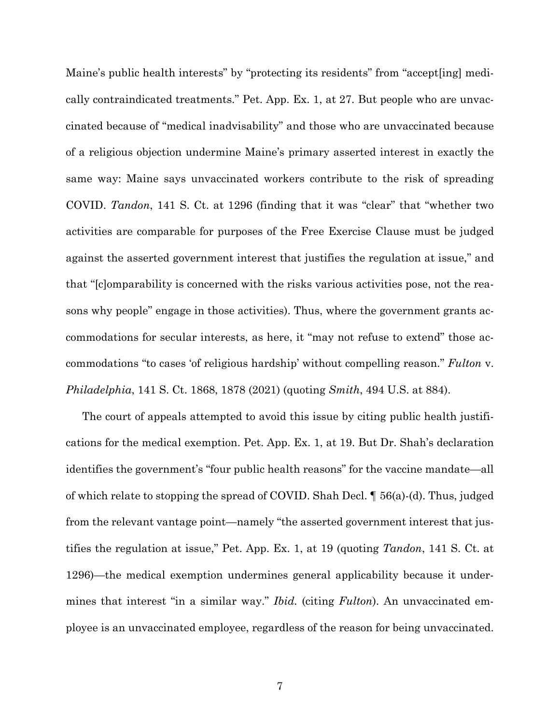Maine's public health interests" by "protecting its residents" from "accept[ing] medically contraindicated treatments." Pet. App. Ex. 1, at 27. But people who are unvaccinated because of "medical inadvisability" and those who are unvaccinated because of a religious objection undermine Maine's primary asserted interest in exactly the same way: Maine says unvaccinated workers contribute to the risk of spreading COVID. *Tandon*, 141 S. Ct. at 1296 (finding that it was "clear" that "whether two activities are comparable for purposes of the Free Exercise Clause must be judged against the asserted government interest that justifies the regulation at issue," and that "[c]omparability is concerned with the risks various activities pose, not the reasons why people" engage in those activities). Thus, where the government grants accommodations for secular interests, as here, it "may not refuse to extend" those accommodations "to cases 'of religious hardship' without compelling reason." *Fulton* v. *Philadelphia*, 141 S. Ct. 1868, 1878 (2021) (quoting *Smith*, 494 U.S. at 884).

The court of appeals attempted to avoid this issue by citing public health justifications for the medical exemption. Pet. App. Ex. 1, at 19. But Dr. Shah's declaration identifies the government's "four public health reasons" for the vaccine mandate—all of which relate to stopping the spread of COVID. Shah Decl. ¶ 56(a)-(d). Thus, judged from the relevant vantage point—namely "the asserted government interest that justifies the regulation at issue," Pet. App. Ex. 1, at 19 (quoting *Tandon*, 141 S. Ct. at 1296)—the medical exemption undermines general applicability because it undermines that interest "in a similar way." *Ibid.* (citing *Fulton*). An unvaccinated employee is an unvaccinated employee, regardless of the reason for being unvaccinated.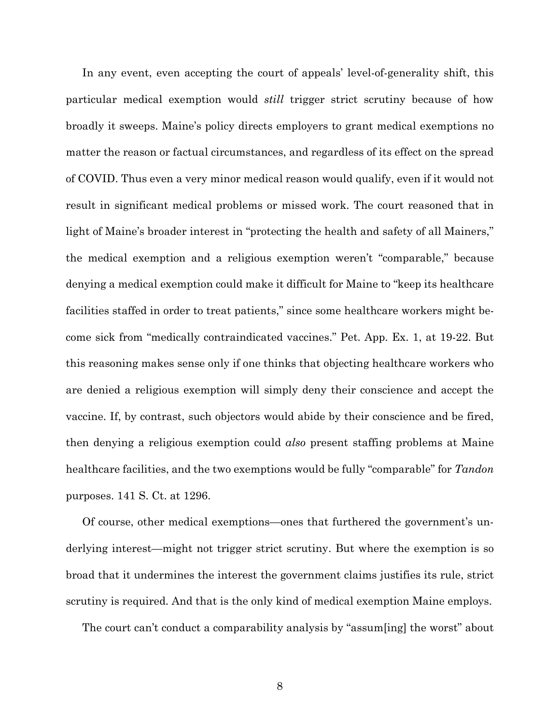In any event, even accepting the court of appeals' level-of-generality shift, this particular medical exemption would *still* trigger strict scrutiny because of how broadly it sweeps. Maine's policy directs employers to grant medical exemptions no matter the reason or factual circumstances, and regardless of its effect on the spread of COVID. Thus even a very minor medical reason would qualify, even if it would not result in significant medical problems or missed work. The court reasoned that in light of Maine's broader interest in "protecting the health and safety of all Mainers," the medical exemption and a religious exemption weren't "comparable," because denying a medical exemption could make it difficult for Maine to "keep its healthcare facilities staffed in order to treat patients," since some healthcare workers might become sick from "medically contraindicated vaccines." Pet. App. Ex. 1, at 19-22. But this reasoning makes sense only if one thinks that objecting healthcare workers who are denied a religious exemption will simply deny their conscience and accept the vaccine. If, by contrast, such objectors would abide by their conscience and be fired, then denying a religious exemption could *also* present staffing problems at Maine healthcare facilities, and the two exemptions would be fully "comparable" for *Tandon* purposes. 141 S. Ct. at 1296.

Of course, other medical exemptions—ones that furthered the government's underlying interest—might not trigger strict scrutiny. But where the exemption is so broad that it undermines the interest the government claims justifies its rule, strict scrutiny is required. And that is the only kind of medical exemption Maine employs.

The court can't conduct a comparability analysis by "assum[ing] the worst" about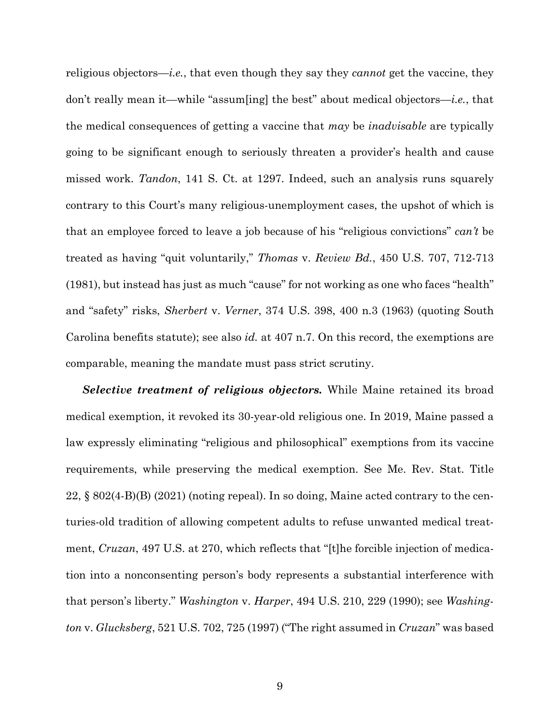religious objectors—*i.e.*, that even though they say they *cannot* get the vaccine, they don't really mean it—while "assum[ing] the best" about medical objectors—*i.e.*, that the medical consequences of getting a vaccine that *may* be *inadvisable* are typically going to be significant enough to seriously threaten a provider's health and cause missed work. *Tandon*, 141 S. Ct. at 1297. Indeed, such an analysis runs squarely contrary to this Court's many religious-unemployment cases, the upshot of which is that an employee forced to leave a job because of his "religious convictions" *can't* be treated as having "quit voluntarily," *Thomas* v. *Review Bd.*, 450 U.S. 707, 712-713 (1981), but instead has just as much "cause" for not working as one who faces "health" and "safety" risks, *Sherbert* v. *Verner*, 374 U.S. 398, 400 n.3 (1963) (quoting South Carolina benefits statute); see also *id.* at 407 n.7. On this record, the exemptions are comparable, meaning the mandate must pass strict scrutiny.

*Selective treatment of religious objectors.* While Maine retained its broad medical exemption, it revoked its 30-year-old religious one. In 2019, Maine passed a law expressly eliminating "religious and philosophical" exemptions from its vaccine requirements, while preserving the medical exemption. See Me. Rev. Stat. Title 22, § 802(4-B)(B) (2021) (noting repeal). In so doing, Maine acted contrary to the centuries-old tradition of allowing competent adults to refuse unwanted medical treatment, *Cruzan*, 497 U.S. at 270, which reflects that "[t]he forcible injection of medication into a nonconsenting person's body represents a substantial interference with that person's liberty." *Washington* v. *Harper*, 494 U.S. 210, 229 (1990); see *Washington* v. *Glucksberg*, 521 U.S. 702, 725 (1997) ("The right assumed in *Cruzan*" was based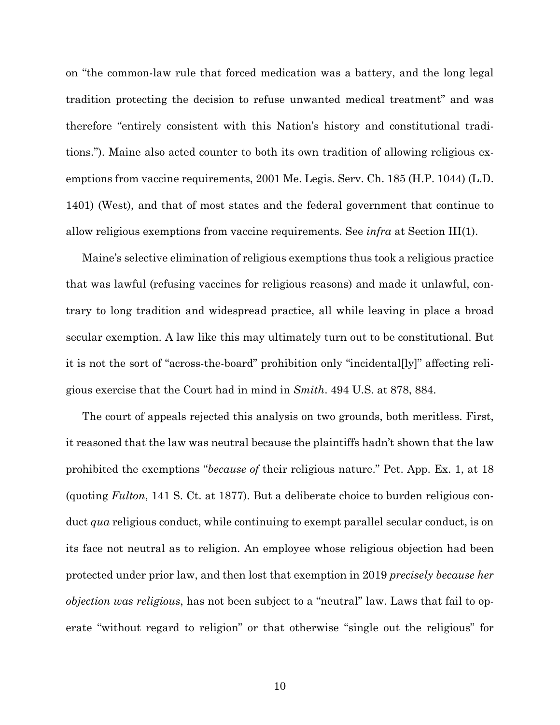on "the common-law rule that forced medication was a battery, and the long legal tradition protecting the decision to refuse unwanted medical treatment" and was therefore "entirely consistent with this Nation's history and constitutional traditions."). Maine also acted counter to both its own tradition of allowing religious exemptions from vaccine requirements, 2001 Me. Legis. Serv. Ch. 185 (H.P. 1044) (L.D. 1401) (West), and that of most states and the federal government that continue to allow religious exemptions from vaccine requirements. See *infra* at Section III(1).

Maine's selective elimination of religious exemptions thus took a religious practice that was lawful (refusing vaccines for religious reasons) and made it unlawful, contrary to long tradition and widespread practice, all while leaving in place a broad secular exemption. A law like this may ultimately turn out to be constitutional. But it is not the sort of "across-the-board" prohibition only "incidental[ly]" affecting religious exercise that the Court had in mind in *Smith*. 494 U.S. at 878, 884.

The court of appeals rejected this analysis on two grounds, both meritless. First, it reasoned that the law was neutral because the plaintiffs hadn't shown that the law prohibited the exemptions "*because of* their religious nature." Pet. App. Ex. 1, at 18 (quoting *Fulton*, 141 S. Ct. at 1877). But a deliberate choice to burden religious conduct *qua* religious conduct, while continuing to exempt parallel secular conduct, is on its face not neutral as to religion. An employee whose religious objection had been protected under prior law, and then lost that exemption in 2019 *precisely because her objection was religious*, has not been subject to a "neutral" law. Laws that fail to operate "without regard to religion" or that otherwise "single out the religious" for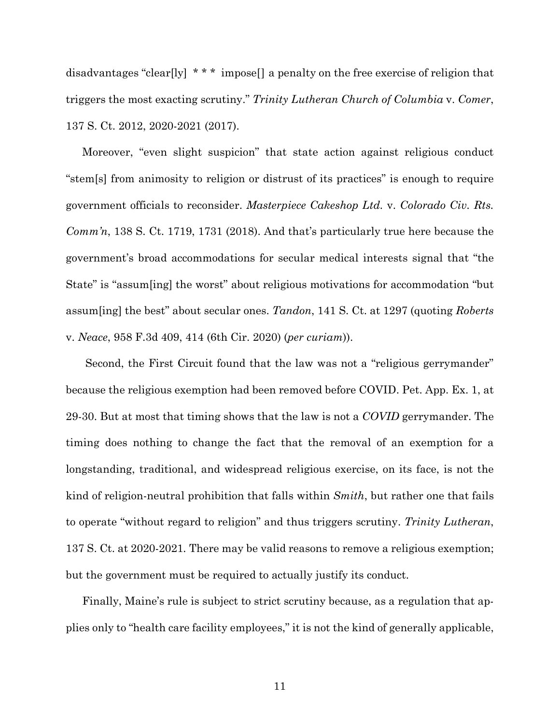disadvantages "clear[ly] \*\*\* impose[] a penalty on the free exercise of religion that triggers the most exacting scrutiny." *Trinity Lutheran Church of Columbia* v. *Comer*, 137 S. Ct. 2012, 2020-2021 (2017).

Moreover, "even slight suspicion" that state action against religious conduct "stem[s] from animosity to religion or distrust of its practices" is enough to require government officials to reconsider. *Masterpiece Cakeshop Ltd.* v. *Colorado Civ. Rts. Comm'n*, 138 S. Ct. 1719, 1731 (2018). And that's particularly true here because the government's broad accommodations for secular medical interests signal that "the State" is "assum[ing] the worst" about religious motivations for accommodation "but assum[ing] the best" about secular ones. *Tandon*, 141 S. Ct. at 1297 (quoting *Roberts*  v. *Neace*, 958 F.3d 409, 414 (6th Cir. 2020) (*per curiam*)).

Second, the First Circuit found that the law was not a "religious gerrymander" because the religious exemption had been removed before COVID. Pet. App. Ex. 1, at 29-30. But at most that timing shows that the law is not a *COVID* gerrymander. The timing does nothing to change the fact that the removal of an exemption for a longstanding, traditional, and widespread religious exercise, on its face, is not the kind of religion-neutral prohibition that falls within *Smith*, but rather one that fails to operate "without regard to religion" and thus triggers scrutiny. *Trinity Lutheran*, 137 S. Ct. at 2020-2021*.* There may be valid reasons to remove a religious exemption; but the government must be required to actually justify its conduct.

Finally, Maine's rule is subject to strict scrutiny because, as a regulation that applies only to "health care facility employees," it is not the kind of generally applicable,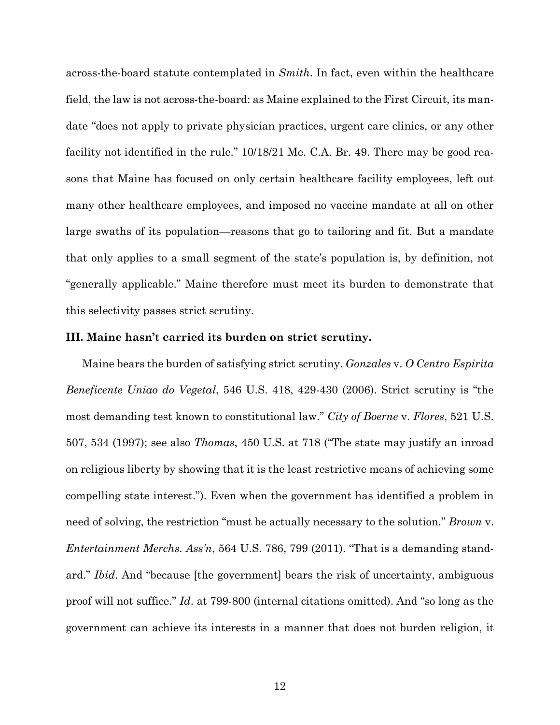across-the-board statute contemplated in *Smith*. In fact, even within the healthcare field, the law is not across-the-board: as Maine explained to the First Circuit, its mandate "does not apply to private physician practices, urgent care clinics, or any other facility not identified in the rule."  $10/18/21$  Me. C.A. Br. 49. There may be good reasons that Maine has focused on only certain healthcare facility employees, left out many other healthcare employees, and imposed no vaccine mandate at all on other large swaths of its population—reasons that go to tailoring and fit. But a mandate that only applies to a small segment of the state's population is, by definition, not "generally applicable." Maine therefore must meet its burden to demonstrate that this selectivity passes strict scrutiny.

#### **III. Maine hasn't carried its burden on strict scrutiny.**

Maine bears the burden of satisfying strict scrutiny. *Gonzales* v. *O Centro Espirita Beneficente Uniao do Vegetal*, 546 U.S. 418, 429-430 (2006). Strict scrutiny is "the most demanding test known to constitutional law." *City of Boerne* v. *Flores*, 521 U.S. 507, 534 (1997); see also *Thomas*, 450 U.S. at 718 ("The state may justify an inroad on religious liberty by showing that it is the least restrictive means of achieving some compelling state interest."). Even when the government has identified a problem in need of solving, the restriction "must be actually necessary to the solution." *Brown* v. *Entertainment Merchs. Ass'n*, 564 U.S. 786, 799 (2011). "That is a demanding standard." *Ibid*. And "because [the government] bears the risk of uncertainty, ambiguous proof will not suffice." *Id*. at 799-800 (internal citations omitted). And "so long as the government can achieve its interests in a manner that does not burden religion, it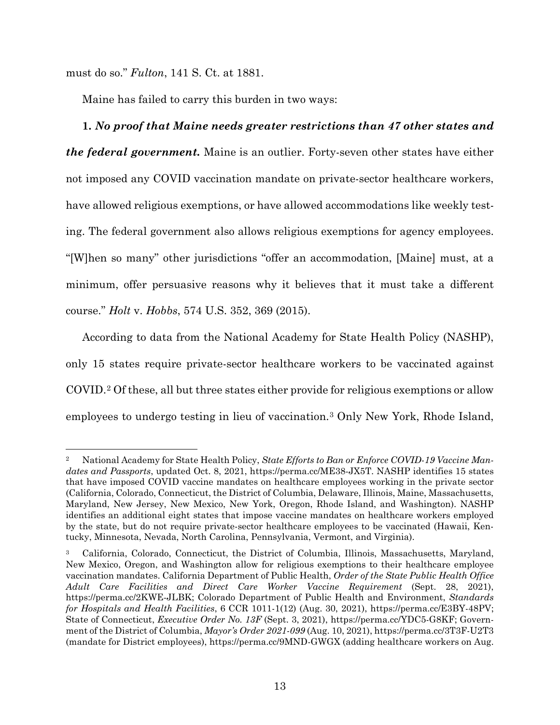must do so." *Fulton*, 141 S. Ct. at 1881.

Maine has failed to carry this burden in two ways:

### **1.** *No proof that Maine needs greater restrictions than 47 other states and*

*the federal government.* Maine is an outlier. Forty-seven other states have either not imposed any COVID vaccination mandate on private-sector healthcare workers, have allowed religious exemptions, or have allowed accommodations like weekly testing. The federal government also allows religious exemptions for agency employees. "[W]hen so many" other jurisdictions "offer an accommodation, [Maine] must, at a minimum, offer persuasive reasons why it believes that it must take a different course." *Holt* v. *Hobbs*, 574 U.S. 352, 369 (2015).

According to data from the National Academy for State Health Policy (NASHP), only 15 states require private-sector healthcare workers to be vaccinated against COVID.[2](#page-21-0) Of these, all but three states either provide for religious exemptions or allow employees to undergo testing in lieu of vaccination.[3](#page-21-1) Only New York, Rhode Island,

<span id="page-21-0"></span><sup>2</sup> National Academy for State Health Policy, *State Efforts to Ban or Enforce COVID-19 Vaccine Mandates and Passports*, updated Oct. 8, 2021, [https://perma.cc/ME38-JX5T.](https://perma.cc/ME38-JX5T) NASHP identifies 15 states that have imposed COVID vaccine mandates on healthcare employees working in the private sector (California, Colorado, Connecticut, the District of Columbia, Delaware, Illinois, Maine, Massachusetts, Maryland, New Jersey, New Mexico, New York, Oregon, Rhode Island, and Washington). NASHP identifies an additional eight states that impose vaccine mandates on healthcare workers employed by the state, but do not require private-sector healthcare employees to be vaccinated (Hawaii, Kentucky, Minnesota, Nevada, North Carolina, Pennsylvania, Vermont, and Virginia).

<span id="page-21-1"></span><sup>&</sup>lt;sup>3</sup> California, Colorado, Connecticut, the District of Columbia, Illinois, Massachusetts, Maryland, New Mexico, Oregon, and Washington allow for religious exemptions to their healthcare employee vaccination mandates. California Department of Public Health, *Order of the State Public Health Office Adult Care Facilities and Direct Care Worker Vaccine Requirement* (Sept. 28, 2021), [https://perma.cc/2KWE-JLBK;](https://perma.cc/2KWE-JLBK) Colorado Department of Public Health and Environment, *Standards for Hospitals and Health Facilities*, 6 CCR 1011-1(12) (Aug. 30, 2021), [https://perma.cc/E3BY-48PV;](https://perma.cc/E3BY-48PV) State of Connecticut, *Executive Order No. 13F* (Sept. 3, 2021), [https://perma.cc/YDC5-G8KF;](https://perma.cc/YDC5-G8KF) Government of the District of Columbia, *Mayor's Order 2021-099* (Aug. 10, 2021)[, https://perma.cc/3T3F-U2T3](https://perma.cc/3T3F-U2T3) (mandate for District employees),<https://perma.cc/9MND-GWGX> (adding healthcare workers on Aug.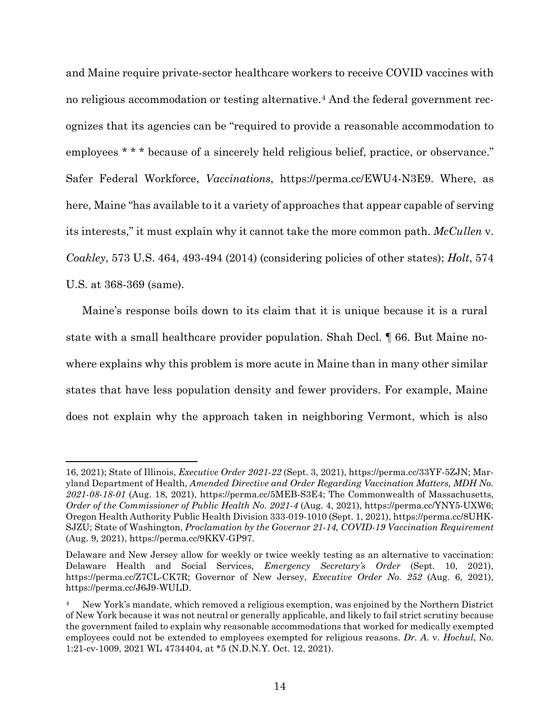and Maine require private-sector healthcare workers to receive COVID vaccines with no religious accommodation or testing alternative.[4](#page-22-0) And the federal government recognizes that its agencies can be "required to provide a reasonable accommodation to employees \* \* \* because of a sincerely held religious belief, practice, or observance." Safer Federal Workforce, *Vaccinations*, [https://perma.cc/EWU4-N3E9.](https://perma.cc/EWU4-N3E9) Where, as here, Maine "has available to it a variety of approaches that appear capable of serving its interests," it must explain why it cannot take the more common path. *McCullen* v. *Coakley*, 573 U.S. 464, 493-494 (2014) (considering policies of other states); *Holt*, 574 U.S. at 368-369 (same).

Maine's response boils down to its claim that it is unique because it is a rural state with a small healthcare provider population. Shah Decl. ¶ 66. But Maine nowhere explains why this problem is more acute in Maine than in many other similar states that have less population density and fewer providers. For example, Maine does not explain why the approach taken in neighboring Vermont, which is also

<sup>16, 2021);</sup> State of Illinois, *Executive Order 2021-22* (Sept. 3, 2021), [https://perma.cc/33YF-5ZJN;](https://perma.cc/33YF-5ZJN) Maryland Department of Health, *Amended Directive and Order Regarding Vaccination Matters, MDH No. 2021-08-18-01* (Aug. 18, 2021), [https://perma.cc/5MEB-S3E4;](https://perma.cc/5MEB-S3E4) The Commonwealth of Massachusetts, *Order of the Commissioner of Public Health No. 2021-4* (Aug. 4, 2021), [https://perma.cc/YNY5-UXW6;](https://perma.cc/YNY5-UXW6) Oregon Health Authority Public Health Division 333-019-1010 (Sept. 1, 2021), [https://perma.cc/8UHK-](https://perma.cc/8UHK-SJZU)[SJZU;](https://perma.cc/8UHK-SJZU) State of Washington, *Proclamation by the Governor 21-14, COVID-19 Vaccination Requirement* (Aug. 9, 2021), [https://perma.cc/9KKV-GP97.](https://perma.cc/9KKV-GP97)

Delaware and New Jersey allow for weekly or twice weekly testing as an alternative to vaccination: Delaware Health and Social Services, *Emergency Secretary's Order* (Sept. 10, 2021), [https://perma.cc/Z7CL-CK7R;](https://perma.cc/Z7CL-CK7R) Governor of New Jersey, *Executive Order No. 252* (Aug. 6, 2021), [https://perma.cc/J6J9-WULD.](https://perma.cc/J6J9-WULD)

<span id="page-22-0"></span><sup>4</sup> New York's mandate, which removed a religious exemption, was enjoined by the Northern District of New York because it was not neutral or generally applicable, and likely to fail strict scrutiny because the government failed to explain why reasonable accommodations that worked for medically exempted employees could not be extended to employees exempted for religious reasons. *Dr. A*. v. *Hochul*, No. 1:21-cv-1009, 2021 WL 4734404, at \*5 (N.D.N.Y. Oct. 12, 2021).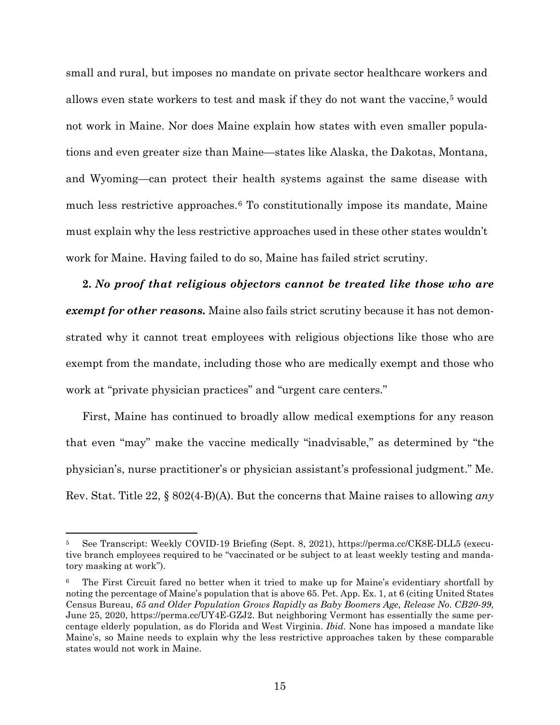small and rural, but imposes no mandate on private sector healthcare workers and allows even state workers to test and mask if they do not want the vaccine,[5](#page-23-0) would not work in Maine. Nor does Maine explain how states with even smaller populations and even greater size than Maine—states like Alaska, the Dakotas, Montana, and Wyoming—can protect their health systems against the same disease with much less restrictive approaches.[6](#page-23-1) To constitutionally impose its mandate, Maine must explain why the less restrictive approaches used in these other states wouldn't work for Maine. Having failed to do so, Maine has failed strict scrutiny.

**2.** *No proof that religious objectors cannot be treated like those who are exempt for other reasons.* Maine also fails strict scrutiny because it has not demonstrated why it cannot treat employees with religious objections like those who are exempt from the mandate, including those who are medically exempt and those who work at "private physician practices" and "urgent care centers."

First, Maine has continued to broadly allow medical exemptions for any reason that even "may" make the vaccine medically "inadvisable," as determined by "the physician's, nurse practitioner's or physician assistant's professional judgment." Me. Rev. Stat. Title 22, § 802(4-B)(A). But the concerns that Maine raises to allowing *any* 

<span id="page-23-0"></span><sup>5</sup> See Transcript: Weekly COVID-19 Briefing (Sept. 8, 2021), <https://perma.cc/CK8E-DLL5> (executive branch employees required to be "vaccinated or be subject to at least weekly testing and mandatory masking at work").

<span id="page-23-1"></span><sup>6</sup> The First Circuit fared no better when it tried to make up for Maine's evidentiary shortfall by noting the percentage of Maine's population that is above 65. Pet. App. Ex. 1, at 6 (citing United States Census Bureau, *65 and Older Population Grows Rapidly as Baby Boomers Age, Release No. CB20-99*, June 25, 2020, [https://perma.cc/UY4E-GZJ2.](https://perma.cc/UY4E-GZJ2) But neighboring Vermont has essentially the same percentage elderly population, as do Florida and West Virginia. *Ibid.* None has imposed a mandate like Maine's, so Maine needs to explain why the less restrictive approaches taken by these comparable states would not work in Maine.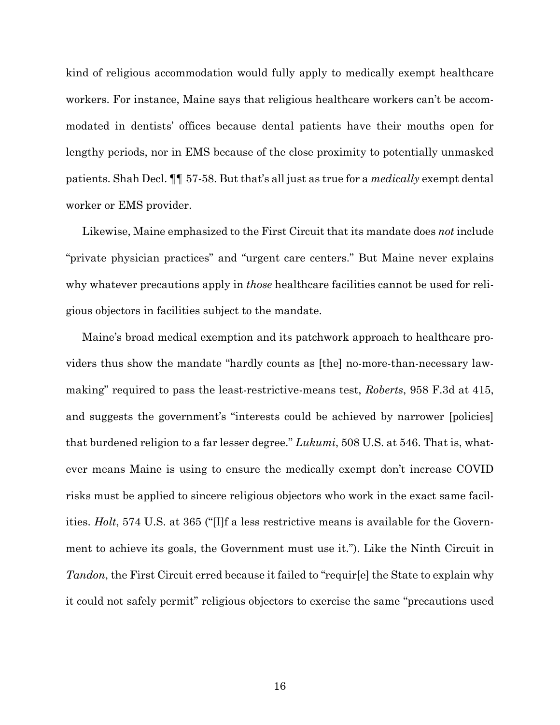kind of religious accommodation would fully apply to medically exempt healthcare workers. For instance, Maine says that religious healthcare workers can't be accommodated in dentists' offices because dental patients have their mouths open for lengthy periods, nor in EMS because of the close proximity to potentially unmasked patients. Shah Decl. ¶¶ 57-58. But that's all just as true for a *medically* exempt dental worker or EMS provider.

Likewise, Maine emphasized to the First Circuit that its mandate does *not* include "private physician practices" and "urgent care centers." But Maine never explains why whatever precautions apply in *those* healthcare facilities cannot be used for religious objectors in facilities subject to the mandate.

Maine's broad medical exemption and its patchwork approach to healthcare providers thus show the mandate "hardly counts as [the] no-more-than-necessary lawmaking" required to pass the least-restrictive-means test, *Roberts*, 958 F.3d at 415, and suggests the government's "interests could be achieved by narrower [policies] that burdened religion to a far lesser degree." *Lukumi*, 508 U.S. at 546. That is, whatever means Maine is using to ensure the medically exempt don't increase COVID risks must be applied to sincere religious objectors who work in the exact same facilities. *Holt*, 574 U.S. at 365 ("[I]f a less restrictive means is available for the Government to achieve its goals, the Government must use it."). Like the Ninth Circuit in *Tandon*, the First Circuit erred because it failed to "requir[e] the State to explain why it could not safely permit" religious objectors to exercise the same "precautions used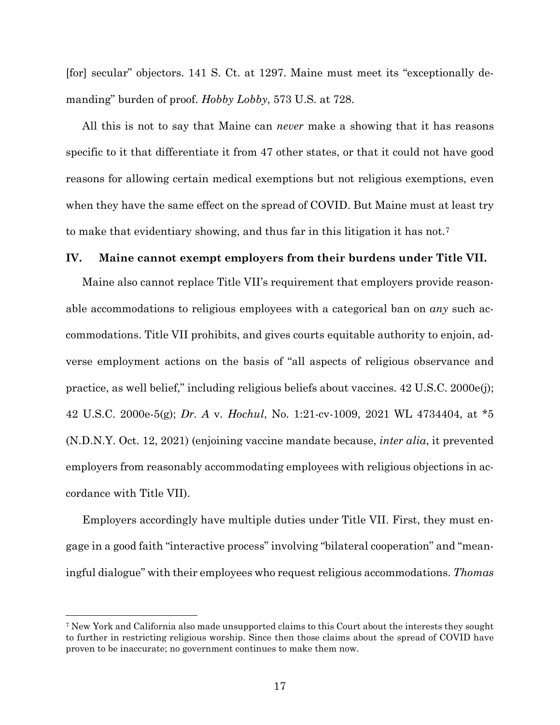[for] secular" objectors. 141 S. Ct. at 1297. Maine must meet its "exceptionally demanding" burden of proof. *Hobby Lobby*, 573 U.S. at 728.

All this is not to say that Maine can *never* make a showing that it has reasons specific to it that differentiate it from 47 other states, or that it could not have good reasons for allowing certain medical exemptions but not religious exemptions, even when they have the same effect on the spread of COVID. But Maine must at least try to make that evidentiary showing, and thus far in this litigation it has not.[7](#page-25-0)

#### **IV. Maine cannot exempt employers from their burdens under Title VII.**

Maine also cannot replace Title VII's requirement that employers provide reasonable accommodations to religious employees with a categorical ban on *any* such accommodations. Title VII prohibits, and gives courts equitable authority to enjoin, adverse employment actions on the basis of "all aspects of religious observance and practice, as well belief," including religious beliefs about vaccines. 42 U.S.C. 2000e(j); 42 U.S.C. 2000e-5(g); *Dr. A* v. *Hochul*, No. 1:21-cv-1009, 2021 WL 4734404, at \*5 (N.D.N.Y. Oct. 12, 2021) (enjoining vaccine mandate because, *inter alia*, it prevented employers from reasonably accommodating employees with religious objections in accordance with Title VII).

Employers accordingly have multiple duties under Title VII. First, they must engage in a good faith "interactive process" involving "bilateral cooperation" and "meaningful dialogue" with their employees who request religious accommodations. *Thomas*

<span id="page-25-0"></span><sup>7</sup> New York and California also made unsupported claims to this Court about the interests they sought to further in restricting religious worship. Since then those claims about the spread of COVID have proven to be inaccurate; no government continues to make them now.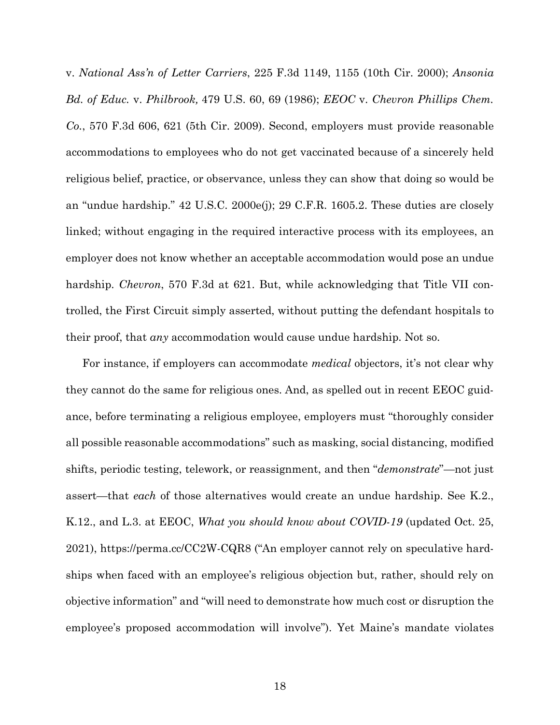v. *National Ass'n of Letter Carriers*, 225 F.3d 1149, 1155 (10th Cir. 2000); *Ansonia Bd. of Educ.* v. *Philbrook,* 479 U.S. 60, 69 (1986); *EEOC* v. *Chevron Phillips Chem. Co.*, 570 F.3d 606, 621 (5th Cir. 2009). Second, employers must provide reasonable accommodations to employees who do not get vaccinated because of a sincerely held religious belief, practice, or observance, unless they can show that doing so would be an "undue hardship." 42 U.S.C. 2000e(j); 29 C.F.R. 1605.2. These duties are closely linked; without engaging in the required interactive process with its employees, an employer does not know whether an acceptable accommodation would pose an undue hardship. *Chevron*, 570 F.3d at 621. But, while acknowledging that Title VII controlled, the First Circuit simply asserted, without putting the defendant hospitals to their proof, that *any* accommodation would cause undue hardship. Not so.

For instance, if employers can accommodate *medical* objectors, it's not clear why they cannot do the same for religious ones. And, as spelled out in recent EEOC guidance, before terminating a religious employee, employers must "thoroughly consider all possible reasonable accommodations" such as masking, social distancing, modified shifts, periodic testing, telework, or reassignment, and then "*demonstrate*"—not just assert—that *each* of those alternatives would create an undue hardship. See K.2., K.12., and L.3. at EEOC, *What you should know about COVID-19* (updated Oct. 25, 2021), https://perma.cc/CC2W-CQR8 ("An employer cannot rely on speculative hardships when faced with an employee's religious objection but, rather, should rely on objective information" and "will need to demonstrate how much cost or disruption the employee's proposed accommodation will involve"). Yet Maine's mandate violates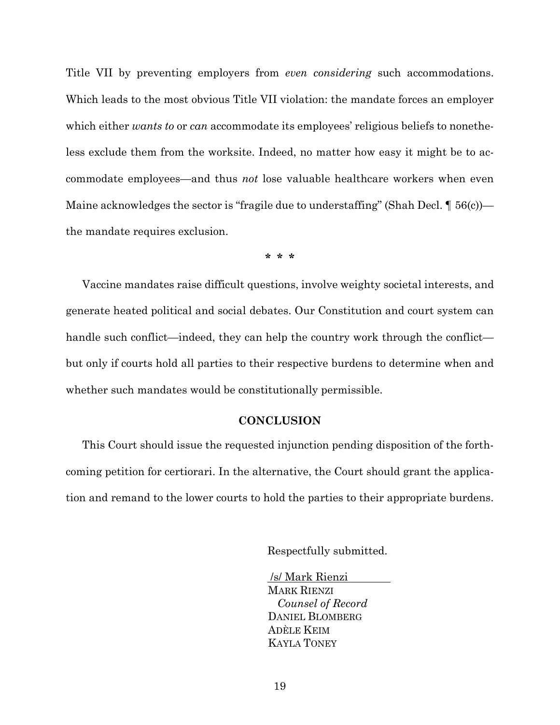Title VII by preventing employers from *even considering* such accommodations. Which leads to the most obvious Title VII violation: the mandate forces an employer which either *wants to* or *can* accommodate its employees' religious beliefs to nonetheless exclude them from the worksite. Indeed, no matter how easy it might be to accommodate employees—and thus *not* lose valuable healthcare workers when even Maine acknowledges the sector is "fragile due to understaffing" (Shah Decl.  $\P$  56(c)) the mandate requires exclusion.

**\* \* \***

Vaccine mandates raise difficult questions, involve weighty societal interests, and generate heated political and social debates. Our Constitution and court system can handle such conflict—indeed, they can help the country work through the conflict but only if courts hold all parties to their respective burdens to determine when and whether such mandates would be constitutionally permissible.

#### **CONCLUSION**

This Court should issue the requested injunction pending disposition of the forthcoming petition for certiorari. In the alternative, the Court should grant the application and remand to the lower courts to hold the parties to their appropriate burdens.

Respectfully submitted.

/s/ Mark Rienzi MARK RIENZI *Counsel of Record* DANIEL BLOMBERG ADÈLE KEIM KAYLA TONEY